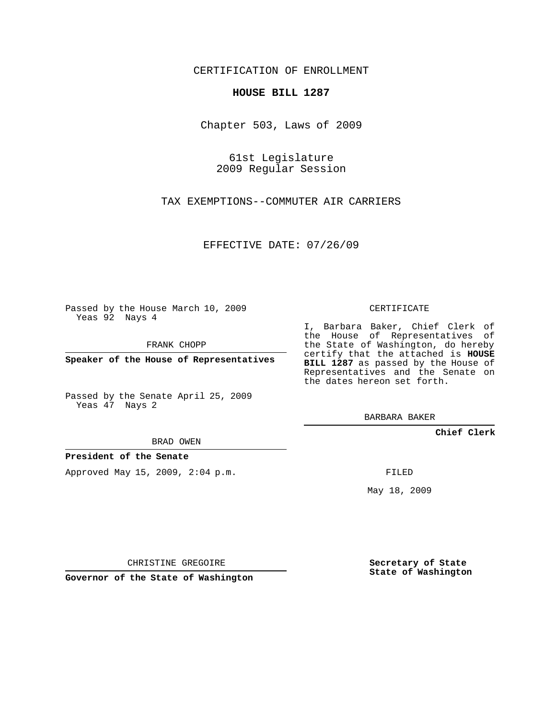CERTIFICATION OF ENROLLMENT

## **HOUSE BILL 1287**

Chapter 503, Laws of 2009

61st Legislature 2009 Regular Session

TAX EXEMPTIONS--COMMUTER AIR CARRIERS

EFFECTIVE DATE: 07/26/09

Passed by the House March 10, 2009 Yeas 92 Nays 4

FRANK CHOPP

**Speaker of the House of Representatives**

Passed by the Senate April 25, 2009 Yeas 47 Nays 2

I, Barbara Baker, Chief Clerk of the House of Representatives of the State of Washington, do hereby certify that the attached is **HOUSE BILL 1287** as passed by the House of Representatives and the Senate on the dates hereon set forth.

BARBARA BAKER

**Chief Clerk**

BRAD OWEN

**President of the Senate**

Approved May 15, 2009, 2:04 p.m.

FILED

May 18, 2009

**Secretary of State State of Washington**

CHRISTINE GREGOIRE

**Governor of the State of Washington**

## CERTIFICATE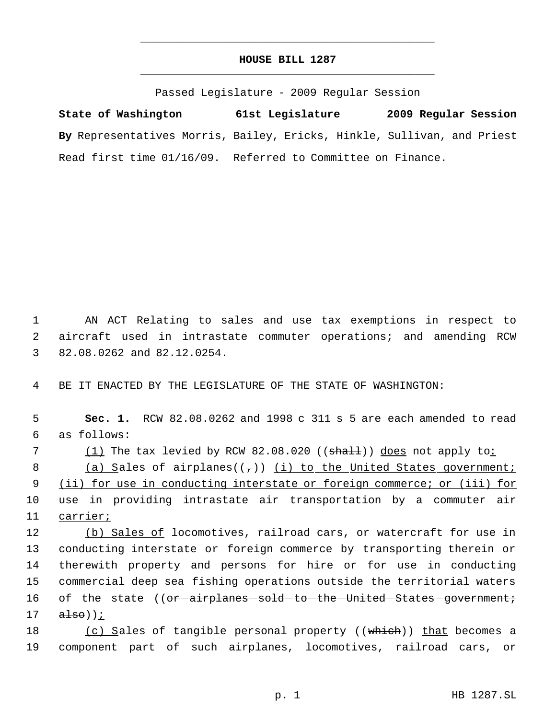## **HOUSE BILL 1287** \_\_\_\_\_\_\_\_\_\_\_\_\_\_\_\_\_\_\_\_\_\_\_\_\_\_\_\_\_\_\_\_\_\_\_\_\_\_\_\_\_\_\_\_\_

\_\_\_\_\_\_\_\_\_\_\_\_\_\_\_\_\_\_\_\_\_\_\_\_\_\_\_\_\_\_\_\_\_\_\_\_\_\_\_\_\_\_\_\_\_

Passed Legislature - 2009 Regular Session

**State of Washington 61st Legislature 2009 Regular Session By** Representatives Morris, Bailey, Ericks, Hinkle, Sullivan, and Priest Read first time 01/16/09. Referred to Committee on Finance.

 1 AN ACT Relating to sales and use tax exemptions in respect to 2 aircraft used in intrastate commuter operations; and amending RCW 3 82.08.0262 and 82.12.0254.

4 BE IT ENACTED BY THE LEGISLATURE OF THE STATE OF WASHINGTON:

 5 **Sec. 1.** RCW 82.08.0262 and 1998 c 311 s 5 are each amended to read 6 as follows:

7 (1) The tax levied by RCW 82.08.020 ((shall)) does not apply to:

8 (a) Sales of airplanes( $(\tau)$ ) (i) to the United States government; 9 (ii) for use in conducting interstate or foreign commerce; or (iii) for 10 use in providing intrastate air transportation by a commuter air 11 carrier;

12 (b) Sales of locomotives, railroad cars, or watercraft for use in 13 conducting interstate or foreign commerce by transporting therein or 14 therewith property and persons for hire or for use in conducting 15 commercial deep sea fishing operations outside the territorial waters 16 of the state ((or-airplanes-sold-to-the-United-States-government;  $17$  alse));

18 (c) Sales of tangible personal property ((which)) that becomes a 19 component part of such airplanes, locomotives, railroad cars, or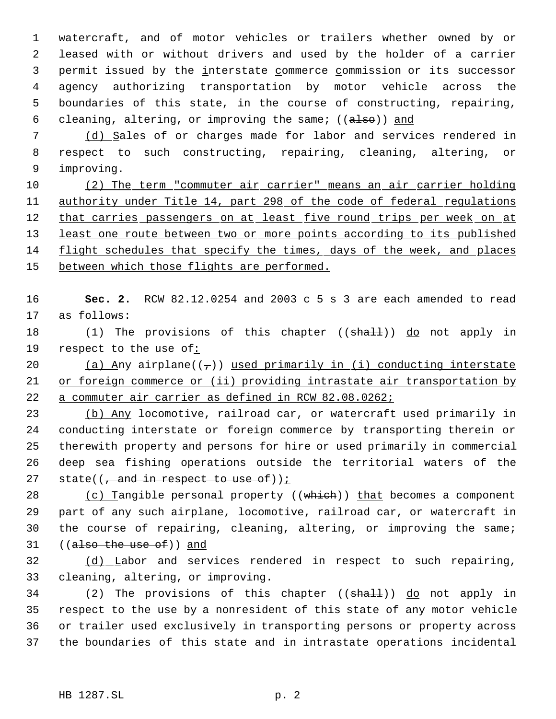watercraft, and of motor vehicles or trailers whether owned by or leased with or without drivers and used by the holder of a carrier 3 permit issued by the interstate commerce commission or its successor agency authorizing transportation by motor vehicle across the boundaries of this state, in the course of constructing, repairing, 6 cleaning, altering, or improving the same;  $((a \text{1so}))$  and

 7 (d) Sales of or charges made for labor and services rendered in 8 respect to such constructing, repairing, cleaning, altering, or 9 improving.

10 (2) The term "commuter air carrier" means an air carrier holding 11 authority under Title 14, part 298 of the code of federal regulations 12 that carries passengers on at least five round trips per week on at 13 least one route between two or more points according to its published 14 flight schedules that specify the times, days of the week, and places 15 between which those flights are performed.

16 **Sec. 2.** RCW 82.12.0254 and 2003 c 5 s 3 are each amended to read 17 as follows:

18 (1) The provisions of this chapter ((shall)) do not apply in 19 respect to the use of:

20 (a) Any airplane( $(\tau)$ ) used primarily in (i) conducting interstate 21 or foreign commerce or (ii) providing intrastate air transportation by 22 a commuter air carrier as defined in RCW 82.08.0262;

23 (b) Any locomotive, railroad car, or watercraft used primarily in 24 conducting interstate or foreign commerce by transporting therein or 25 therewith property and persons for hire or used primarily in commercial 26 deep sea fishing operations outside the territorial waters of the 27 state( $\left(\frac{1}{t} + \frac{1}{t} + \frac{1}{t} + \frac{1}{t} + \frac{1}{t}\right)$ 

28 (c) Tangible personal property ((which)) that becomes a component 29 part of any such airplane, locomotive, railroad car, or watercraft in 30 the course of repairing, cleaning, altering, or improving the same; 31 ((also the use of)) and

32 (d) Labor and services rendered in respect to such repairing, 33 cleaning, altering, or improving.

34 (2) The provisions of this chapter ((shall)) do not apply in respect to the use by a nonresident of this state of any motor vehicle or trailer used exclusively in transporting persons or property across the boundaries of this state and in intrastate operations incidental